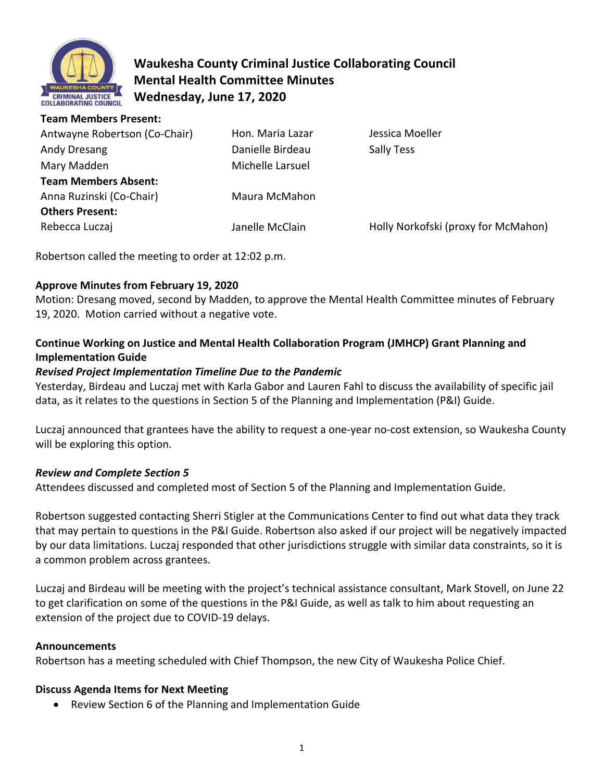

# **Waukesha County Criminal Justice Collaborating Council Mental Health Committee Minutes Wednesday, June 17, 2020**

**Team Members Present:** 

| Antwayne Robertson (Co-Chair) | Hon. Maria Lazar | Jessica Moeller                     |
|-------------------------------|------------------|-------------------------------------|
| Andy Dresang                  | Danielle Birdeau | Sally Tess                          |
| Mary Madden                   | Michelle Larsuel |                                     |
| <b>Team Members Absent:</b>   |                  |                                     |
| Anna Ruzinski (Co-Chair)      | Maura McMahon    |                                     |
| <b>Others Present:</b>        |                  |                                     |
| Rebecca Luczaj                | Janelle McClain  | Holly Norkofski (proxy for McMahon) |
|                               |                  |                                     |

Robertson called the meeting to order at 12:02 p.m.

### **Approve Minutes from February 19, 2020**

Motion: Dresang moved, second by Madden, to approve the Mental Health Committee minutes of February 19, 2020. Motion carried without a negative vote.

## **Continue Working on Justice and Mental Health Collaboration Program (JMHCP) Grant Planning and Implementation Guide**

#### *Revised Project Implementation Timeline Due to the Pandemic*

Yesterday, Birdeau and Luczaj met with Karla Gabor and Lauren Fahl to discuss the availability of specific jail data, as it relates to the questions in Section 5 of the Planning and Implementation (P&I) Guide.

Luczaj announced that grantees have the ability to request a one-year no-cost extension, so Waukesha County will be exploring this option.

### *Review and Complete Section 5*

Attendees discussed and completed most of Section 5 of the Planning and Implementation Guide.

Robertson suggested contacting Sherri Stigler at the Communications Center to find out what data they track that may pertain to questions in the P&I Guide. Robertson also asked if our project will be negatively impacted by our data limitations. Luczaj responded that other jurisdictions struggle with similar data constraints, so it is a common problem across grantees.

Luczaj and Birdeau will be meeting with the project's technical assistance consultant, Mark Stovell, on June 22 to get clarification on some of the questions in the P&I Guide, as well as talk to him about requesting an extension of the project due to COVID-19 delays.

#### **Announcements**

Robertson has a meeting scheduled with Chief Thompson, the new City of Waukesha Police Chief.

### **Discuss Agenda Items for Next Meeting**

• Review Section 6 of the Planning and Implementation Guide